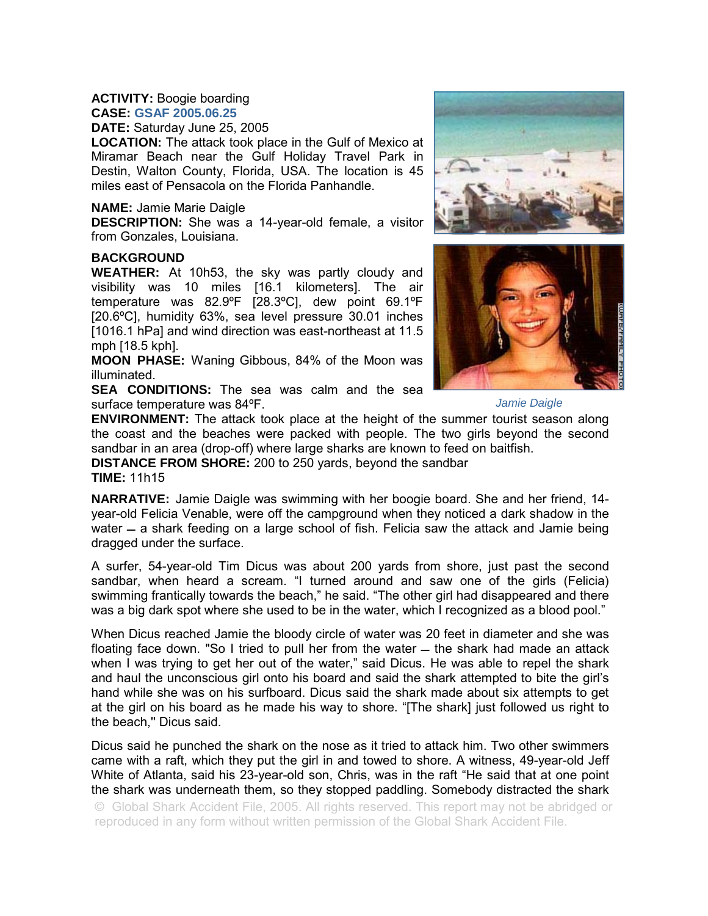## **ACTIVITY:** Boogie boarding **CASE: GSAF 2005.06.25**

**DATE:** Saturday June 25, 2005

**LOCATION:** The attack took place in the Gulf of Mexico at Miramar Beach near the Gulf Holiday Travel Park in Destin, Walton County, Florida, USA. The location is 45 miles east of Pensacola on the Florida Panhandle.

## **NAME:** Jamie Marie Daigle

**DESCRIPTION:** She was a 14-year-old female, a visitor from Gonzales, Louisiana.

## **BACKGROUND**

**WEATHER:** At 10h53, the sky was partly cloudy and visibility was 10 miles [16.1 kilometers]. The air temperature was 82.9ºF [28.3ºC], dew point 69.1ºF [20.6ºC], humidity 63%, sea level pressure 30.01 inches [1016.1 hPa] and wind direction was east-northeast at 11.5 mph [18.5 kph].

**MOON PHASE:** Waning Gibbous, 84% of the Moon was illuminated.

**SEA CONDITIONS:** The sea was calm and the sea surface temperature was 84ºF.





*Jamie Daigle* 

**ENVIRONMENT:** The attack took place at the height of the summer tourist season along the coast and the beaches were packed with people. The two girls beyond the second sandbar in an area (drop-off) where large sharks are known to feed on baitfish.

**DISTANCE FROM SHORE:** 200 to 250 yards, beyond the sandbar **TIME:** 11h15

**NARRATIVE:** Jamie Daigle was swimming with her boogie board. She and her friend, 14 year-old Felicia Venable, were off the campground when they noticed a dark shadow in the water  $-$  a shark feeding on a large school of fish. Felicia saw the attack and Jamie being dragged under the surface.

A surfer, 54-year-old Tim Dicus was about 200 yards from shore, just past the second sandbar, when heard a scream. "I turned around and saw one of the girls (Felicia) swimming frantically towards the beach," he said. "The other girl had disappeared and there was a big dark spot where she used to be in the water, which I recognized as a blood pool."

When Dicus reached Jamie the bloody circle of water was 20 feet in diameter and she was floating face down. "So I tried to pull her from the water  $-$  the shark had made an attack when I was trying to get her out of the water," said Dicus. He was able to repel the shark and haul the unconscious girl onto his board and said the shark attempted to bite the girl's hand while she was on his surfboard. Dicus said the shark made about six attempts to get at the girl on his board as he made his way to shore. "[The shark] just followed us right to the beach,'' Dicus said.

Dicus said he punched the shark on the nose as it tried to attack him. Two other swimmers came with a raft, which they put the girl in and towed to shore. A witness, 49-year-old Jeff White of Atlanta, said his 23-year-old son, Chris, was in the raft "He said that at one point the shark was underneath them, so they stopped paddling. Somebody distracted the shark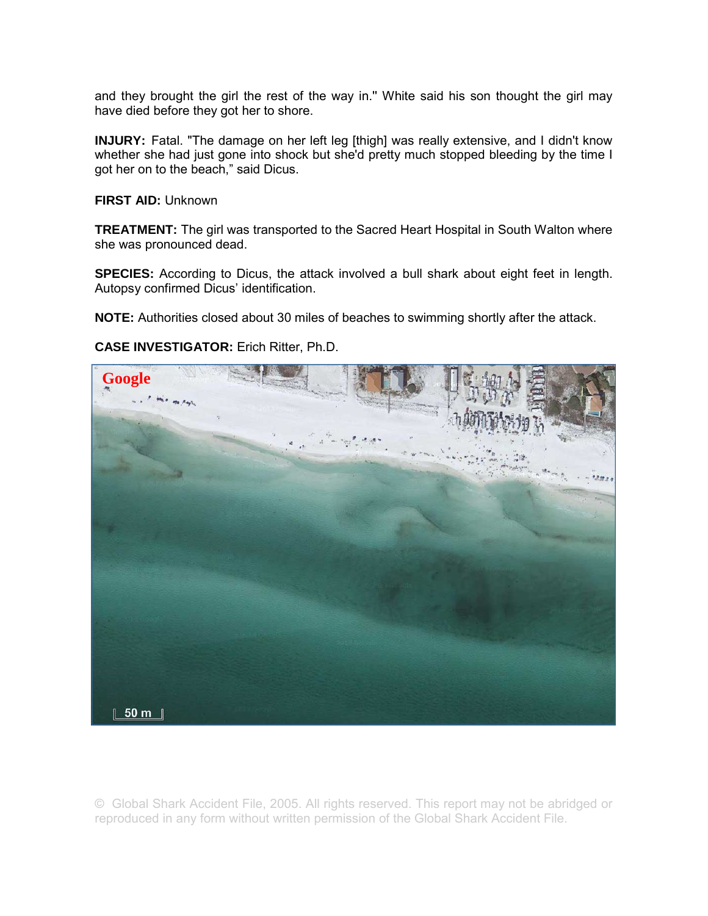and they brought the girl the rest of the way in.'' White said his son thought the girl may have died before they got her to shore.

**INJURY:** Fatal. "The damage on her left leg [thigh] was really extensive, and I didn't know whether she had just gone into shock but she'd pretty much stopped bleeding by the time I got her on to the beach," said Dicus.

**FIRST AID:** Unknown

**TREATMENT:** The girl was transported to the Sacred Heart Hospital in South Walton where she was pronounced dead.

**SPECIES:** According to Dicus, the attack involved a bull shark about eight feet in length. Autopsy confirmed Dicus' identification.

**NOTE:** Authorities closed about 30 miles of beaches to swimming shortly after the attack.

**CASE INVESTIGATOR:** Erich Ritter, Ph.D.

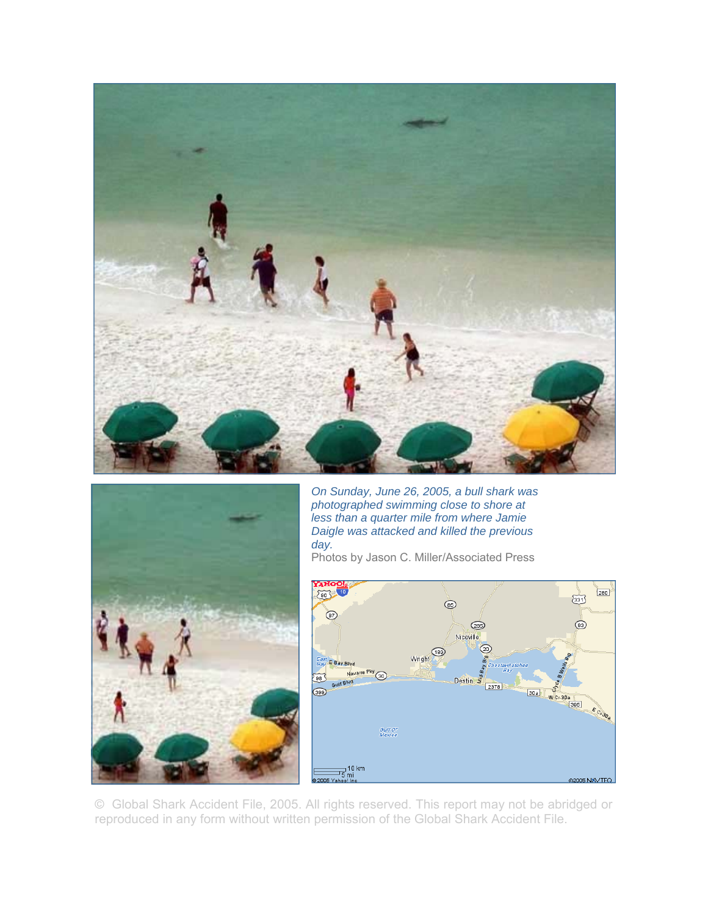



*On Sunday, June 26, 2005, a bull shark was photographed swimming close to shore at less than a quarter mile from where Jamie Daigle was attacked and killed the previous day.* 

Photos by Jason C. Miller/Associated Press